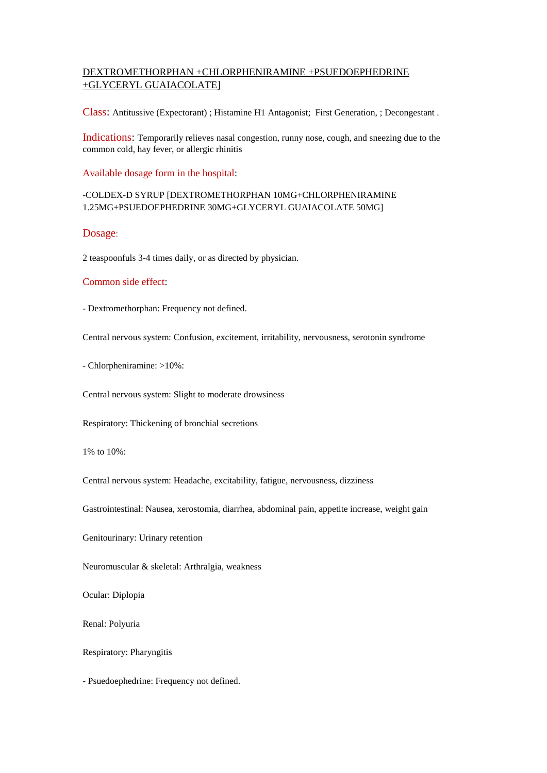# DEXTROMETHORPHAN +CHLORPHENIRAMINE +PSUEDOEPHEDRINE +GLYCERYL GUAIACOLATE]

Class: [Antitussive](http://lexicomp.medicasur.com.mx/lco/action/search/pharmacat/patch_f?q=Antitussive) (Expectorant) ; [Histamine H1 Antagonist;](http://lexicomp.medicasur.com.mx/lco/action/search/pharmacat/patch_f?q=Histamine+H%3Csub%3E1%3C%2Fsub%3E+Antagonist) [First Generation,](http://lexicomp.medicasur.com.mx/lco/action/search/pharmacat/patch_f?q=Histamine+H%3Csub%3E1%3C%2Fsub%3E+Antagonist%2C+First+Generation) [; Decongestant](http://lexicomp.medicasur.com.mx/lco/action/search/pharmacat/patch_f?q=Decongestant) .

Indications: Temporarily relieves nasal congestion, runny nose, cough, and sneezing due to the common cold, hay fever, or allergic rhinitis

Available dosage form in the hospital:

## -COLDEX-D SYRUP [DEXTROMETHORPHAN 10MG+CHLORPHENIRAMINE 1.25MG+PSUEDOEPHEDRINE 30MG+GLYCERYL GUAIACOLATE 50MG]

#### Dosage:

2 teaspoonfuls 3-4 times daily, or as directed by physician.

#### Common side effect:

- Dextromethorphan: Frequency not defined.

Central nervous system: Confusion, excitement, irritability, nervousness, serotonin syndrome

- Chlorpheniramine: >10%:

Central nervous system: Slight to moderate drowsiness

Respiratory: Thickening of bronchial secretions

1% to  $10\%$ 

Central nervous system: Headache, excitability, fatigue, nervousness, dizziness

Gastrointestinal: Nausea, xerostomia, diarrhea, abdominal pain, appetite increase, weight gain

Genitourinary: Urinary retention

Neuromuscular & skeletal: Arthralgia, weakness

Ocular: Diplopia

Renal: Polyuria

Respiratory: Pharyngitis

- Psuedoephedrine: Frequency not defined.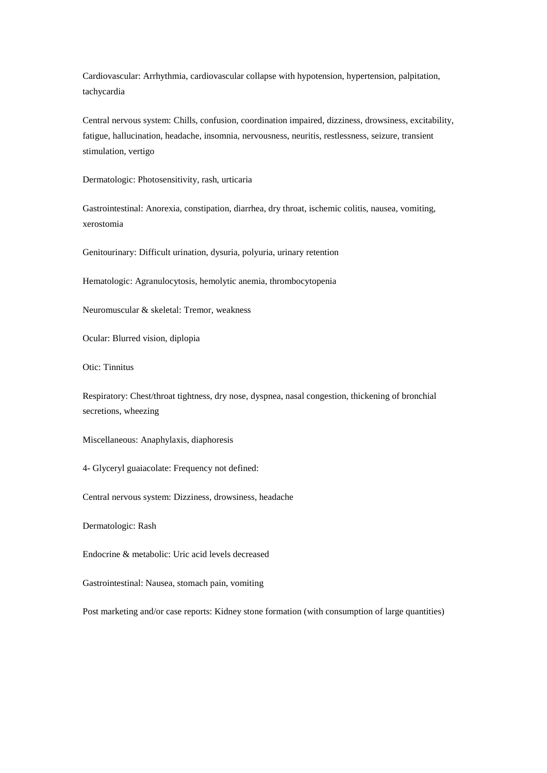Cardiovascular: Arrhythmia, cardiovascular collapse with hypotension, hypertension, palpitation, tachycardia

Central nervous system: Chills, confusion, coordination impaired, dizziness, drowsiness, excitability, fatigue, hallucination, headache, insomnia, nervousness, neuritis, restlessness, seizure, transient stimulation, vertigo

Dermatologic: Photosensitivity, rash, urticaria

Gastrointestinal: Anorexia, constipation, diarrhea, dry throat, ischemic colitis, nausea, vomiting, xerostomia

Genitourinary: Difficult urination, dysuria, polyuria, urinary retention

Hematologic: Agranulocytosis, hemolytic anemia, thrombocytopenia

Neuromuscular & skeletal: Tremor, weakness

Ocular: Blurred vision, diplopia

Otic: Tinnitus

Respiratory: Chest/throat tightness, dry nose, dyspnea, nasal congestion, thickening of bronchial secretions, wheezing

Miscellaneous: Anaphylaxis, diaphoresis

4- Glyceryl guaiacolate: Frequency not defined:

Central nervous system: Dizziness, drowsiness, headache

Dermatologic: Rash

Endocrine & metabolic: Uric acid levels decreased

Gastrointestinal: Nausea, stomach pain, vomiting

Post marketing and/or case reports: Kidney stone formation (with consumption of large quantities)